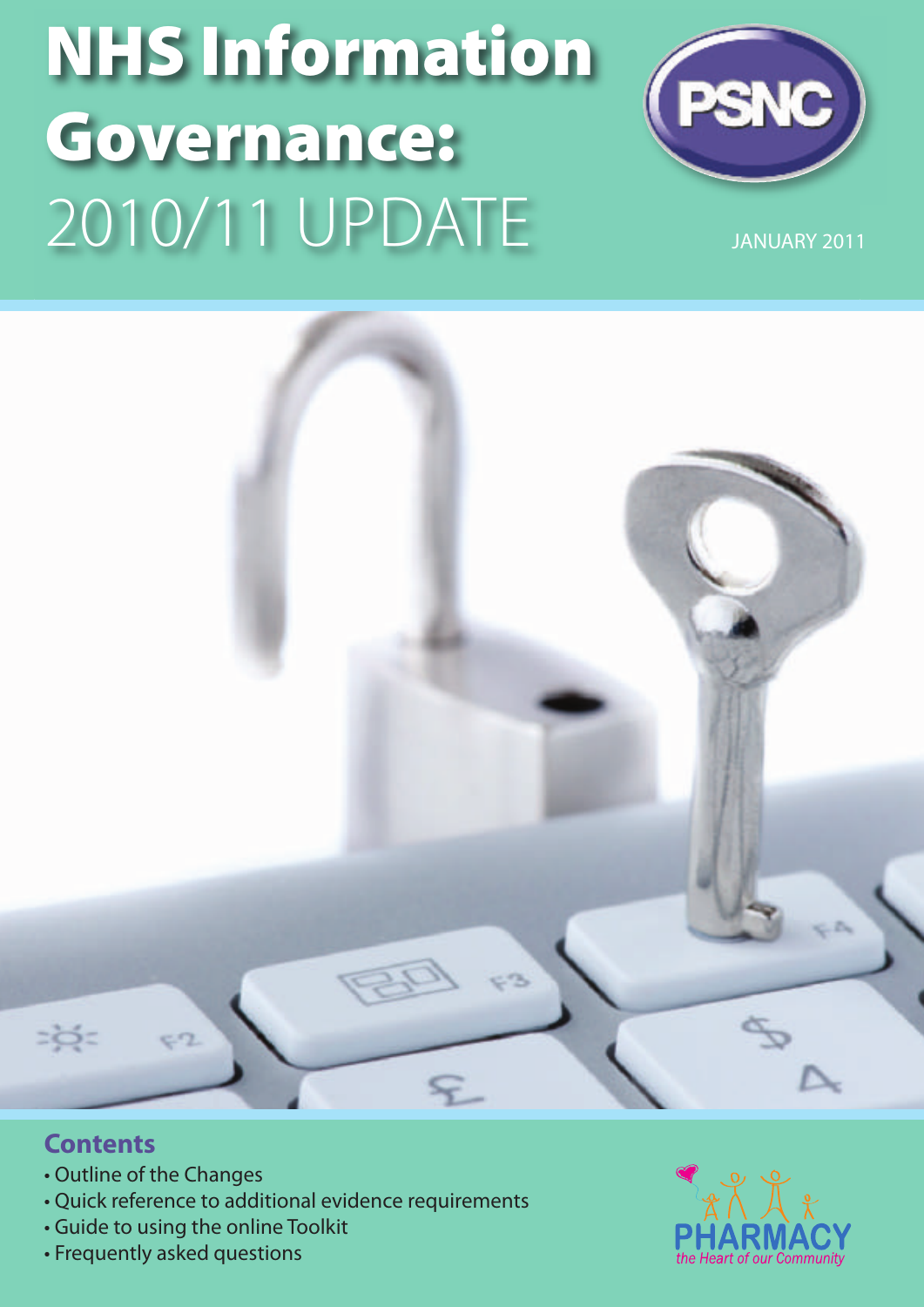# **NHS Information Governance:** 2010/11 UPDATE



JANUARY 2011

# $\Rightarrow$  $C<sub>2</sub>$

# **Contents**

- Outline of the Changes
- Quick reference to additional evidence requirements
- Guide to using the online Toolkit
- Frequently asked questions

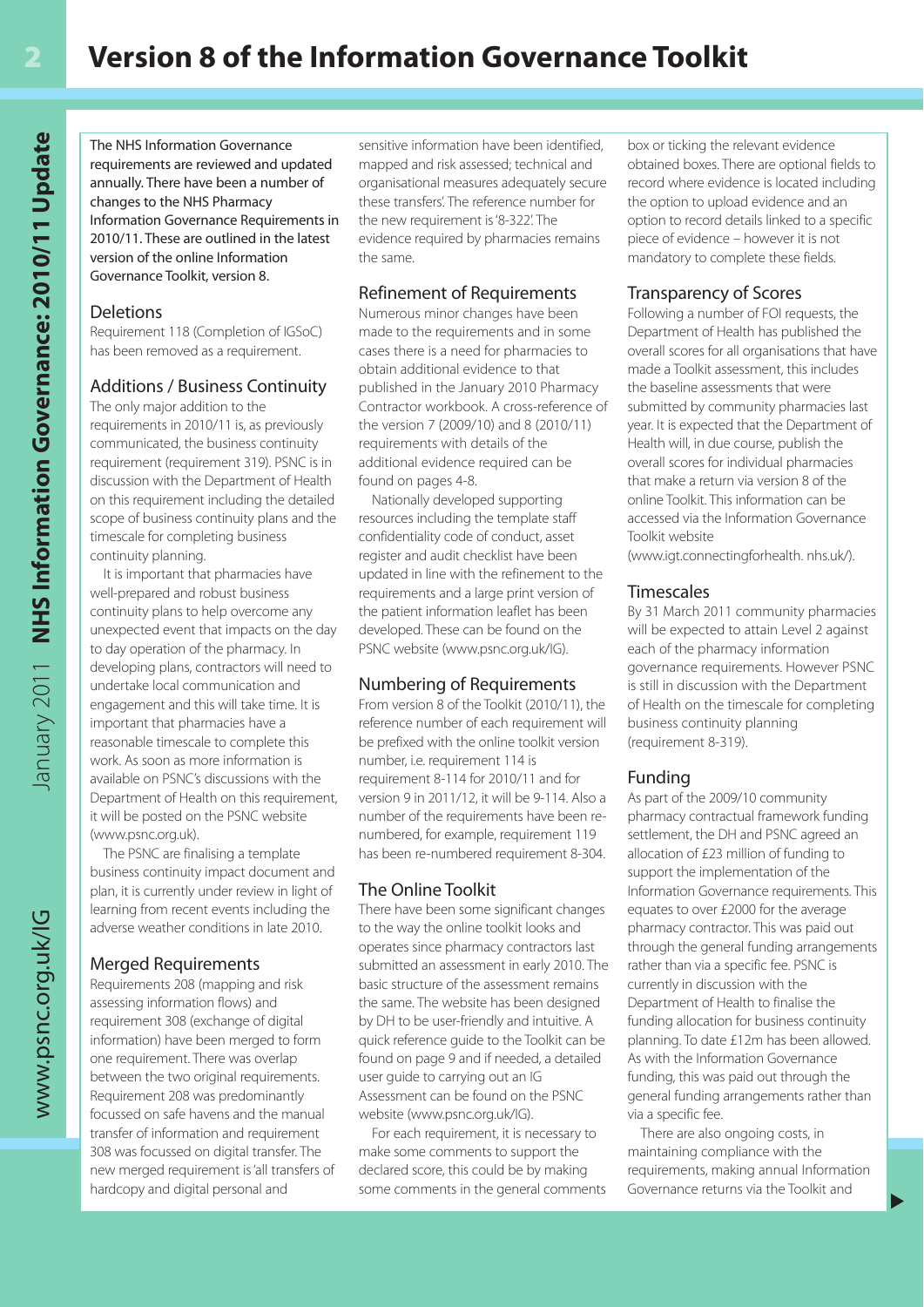January 2011 NHS Information Governance: 2010/11 Update

The NHS Information Governance requirements are reviewed and updated annually. There have been a number of changes to the NHS Pharmacy Information Governance Requirements in 2010/11. These are outlined in the latest version of the online Information Governance Toolkit, version 8.

# **Deletions**

Requirement 118 (Completion of IGSoC) has been removed as a requirement.

# Additions / Business Continuity

The only major addition to the requirements in 2010/11 is, as previously communicated, the business continuity requirement (requirement 319). PSNC is in discussion with the Department of Health on this requirement including the detailed scope of business continuity plans and the timescale for completing business continuity planning.

It is important that pharmacies have well-prepared and robust business continuity plans to help overcome any unexpected event that impacts on the day to day operation of the pharmacy. In developing plans, contractors will need to undertake local communication and engagement and this will take time. It is important that pharmacies have a reasonable timescale to complete this work. As soon as more information is available on PSNC's discussions with the Department of Health on this requirement, it will be posted on the PSNC website (www.psnc.org.uk).

The PSNC are finalising a template business continuity impact document and plan, it is currently under review in light of learning from recent events including the adverse weather conditions in late 2010.

# Merged Requirements

Requirements 208 (mapping and risk assessing information flows) and requirement 308 (exchange of digital information) have been merged to form one requirement. There was overlap between the two original requirements. Requirement 208 was predominantly focussed on safe havens and the manual transfer of information and requirement 308 was focussed on digital transfer. The new merged requirement is'all transfers of hardcopy and digital personal and

sensitive information have been identified, mapped and risk assessed; technical and organisational measures adequately secure these transfers'. The reference number for the new requirement is'8-322'. The evidence required by pharmacies remains the same.

# Refinement of Requirements

Numerous minor changes have been made to the requirements and in some cases there is a need for pharmacies to obtain additional evidence to that published in the January 2010 Pharmacy Contractor workbook. A cross-reference of the version 7 (2009/10) and 8 (2010/11) requirements with details of the additional evidence required can be found on pages 4-8.

Nationally developed supporting resources including the template staff confidentiality code of conduct, asset register and audit checklist have been updated in line with the refinement to the requirements and a large print version of the patient information leaflet has been developed. These can be found on the PSNC website (www.psnc.org.uk/IG).

# Numbering of Requirements

From version 8 of the Toolkit (2010/11), the reference number of each requirement will be prefixed with the online toolkit version number, i.e. requirement 114 is requirement 8-114 for 2010/11 and for version 9 in 2011/12, it will be 9-114. Also a number of the requirements have been renumbered, for example, requirement 119 has been re-numbered requirement 8-304.

# The Online Toolkit

There have been some significant changes to the way the online toolkit looks and operates since pharmacy contractors last submitted an assessment in early 2010. The basic structure of the assessment remains the same. The website has been designed by DH to be user-friendly and intuitive. A quick reference guide to the Toolkit can be found on page 9 and if needed, a detailed user guide to carrying out an IG Assessment can be found on the PSNC website (www.psnc.org.uk/IG).

For each requirement, it is necessary to make some comments to support the declared score, this could be by making some comments in the general comments

box or ticking the relevant evidence obtained boxes. There are optional fields to record where evidence is located including the option to upload evidence and an option to record details linked to a specific piece of evidence – however it is not mandatory to complete these fields.

# Transparency of Scores

Following a number of FOI requests, the Department of Health has published the overall scores for all organisations that have made a Toolkit assessment, this includes the baseline assessments that were submitted by community pharmacies last year. It is expected that the Department of Health will, in due course, publish the overall scores for individual pharmacies that make a return via version 8 of the online Toolkit. This information can be accessed via the Information Governance Toolkit website

(www.igt.connectingforhealth. nhs.uk/).

# **Timescales**

By 31 March 2011 community pharmacies will be expected to attain Level 2 against each of the pharmacy information governance requirements. However PSNC is still in discussion with the Department of Health on the timescale for completing business continuity planning (requirement 8-319).

# Funding

As part of the 2009/10 community pharmacy contractual framework funding settlement, the DH and PSNC agreed an allocation of £23 million of funding to support the implementation of the Information Governance requirements. This equates to over £2000 for the average pharmacy contractor. This was paid out through the general funding arrangements rather than via a specific fee. PSNC is currently in discussion with the Department of Health to finalise the funding allocation for business continuity planning. To date £12m has been allowed. As with the Information Governance funding, this was paid out through the general funding arrangements rather than via a specific fee.

There are also ongoing costs, in maintaining compliance with the requirements, making annual Information Governance returns via the Toolkit and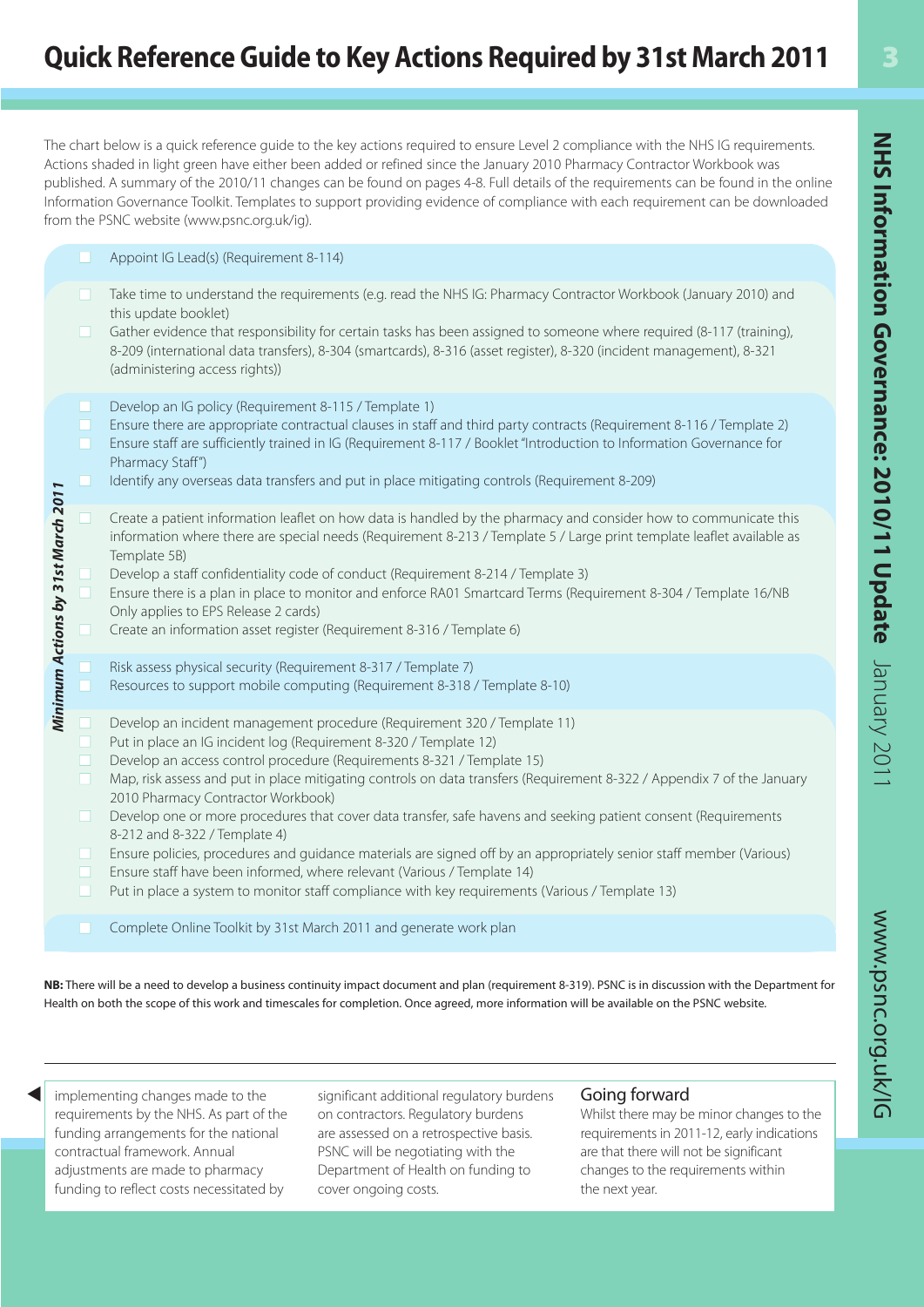www.psnc.org.uk/IG

# **Quick Referenc e Guide t o Key Actions Required by 31st March 201 1**

The chart below is a quick reference guide to the key actions required to ensure Level 2 compliance with the NHS IG requirements. Actions shaded in light green have either been added or refined since the January 2010 Pharmacy Contractor Workbook was published. A summary of the 2010/11 changes can be found on pages 4-8. Full details of the requirements can be found in the online Information Governance Toolkit. Templates to support providing evidence of compliance with each requirement can be downloaded from the PSNC website (www.psnc.org.uk/ig).

| Appoint IG Lead(s) (Requirement 8-114)<br>Take time to understand the requirements (e.g. read the NHS IG: Pharmacy Contractor Workbook (January 2010) and<br>this update booklet)<br>Gather evidence that responsibility for certain tasks has been assigned to someone where required (8-117 (training),<br>$\Box$<br>8-209 (international data transfers), 8-304 (smartcards), 8-316 (asset register), 8-320 (incident management), 8-321<br>(administering access rights))<br>Develop an IG policy (Requirement 8-115 / Template 1)<br>H<br>Ensure there are appropriate contractual clauses in staff and third party contracts (Requirement 8-116 / Template 2)<br>H<br>Ensure staff are sufficiently trained in IG (Requirement 8-117 / Booklet "Introduction to Information Governance for<br>П<br>Pharmacy Staff")<br>Identify any overseas data transfers and put in place mitigating controls (Requirement 8-209)<br>ш<br>Minimum Actions by 31st March 2011<br>Create a patient information leaflet on how data is handled by the pharmacy and consider how to communicate this<br>information where there are special needs (Requirement 8-213 / Template 5 / Large print template leaflet available as<br>Template 5B)<br>Develop a staff confidentiality code of conduct (Requirement 8-214 / Template 3)<br>$\Box$<br>Ensure there is a plan in place to monitor and enforce RA01 Smartcard Terms (Requirement 8-304 / Template 16/NB<br>Only applies to EPS Release 2 cards)<br>Create an information asset register (Requirement 8-316 / Template 6)<br>Risk assess physical security (Requirement 8-317 / Template 7)<br>Resources to support mobile computing (Requirement 8-318 / Template 8-10)<br>Develop an incident management procedure (Requirement 320 / Template 11)<br>Put in place an IG incident log (Requirement 8-320 / Template 12)<br>$\Box$<br>Develop an access control procedure (Requirements 8-321 / Template 15)<br>$\Box$<br>Map, risk assess and put in place mitigating controls on data transfers (Requirement 8-322 / Appendix 7 of the January<br>2010 Pharmacy Contractor Workbook)<br>Develop one or more procedures that cover data transfer, safe havens and seeking patient consent (Requirements<br>H<br>8-212 and 8-322 / Template 4)<br>Ensure policies, procedures and guidance materials are signed off by an appropriately senior staff member (Various)<br>H<br>Ensure staff have been informed, where relevant (Various / Template 14)<br>$\Box$<br>Put in place a system to monitor staff compliance with key requirements (Various / Template 13)<br>П<br>Complete Online Toolkit by 31st March 2011 and generate work plan |  |  |
|------------------------------------------------------------------------------------------------------------------------------------------------------------------------------------------------------------------------------------------------------------------------------------------------------------------------------------------------------------------------------------------------------------------------------------------------------------------------------------------------------------------------------------------------------------------------------------------------------------------------------------------------------------------------------------------------------------------------------------------------------------------------------------------------------------------------------------------------------------------------------------------------------------------------------------------------------------------------------------------------------------------------------------------------------------------------------------------------------------------------------------------------------------------------------------------------------------------------------------------------------------------------------------------------------------------------------------------------------------------------------------------------------------------------------------------------------------------------------------------------------------------------------------------------------------------------------------------------------------------------------------------------------------------------------------------------------------------------------------------------------------------------------------------------------------------------------------------------------------------------------------------------------------------------------------------------------------------------------------------------------------------------------------------------------------------------------------------------------------------------------------------------------------------------------------------------------------------------------------------------------------------------------------------------------------------------------------------------------------------------------------------------------------------------------------------------------------------------------------------------------------------------------------------------------------------------------------------------------------------------------------------------------------------------------------------|--|--|
|                                                                                                                                                                                                                                                                                                                                                                                                                                                                                                                                                                                                                                                                                                                                                                                                                                                                                                                                                                                                                                                                                                                                                                                                                                                                                                                                                                                                                                                                                                                                                                                                                                                                                                                                                                                                                                                                                                                                                                                                                                                                                                                                                                                                                                                                                                                                                                                                                                                                                                                                                                                                                                                                                          |  |  |
|                                                                                                                                                                                                                                                                                                                                                                                                                                                                                                                                                                                                                                                                                                                                                                                                                                                                                                                                                                                                                                                                                                                                                                                                                                                                                                                                                                                                                                                                                                                                                                                                                                                                                                                                                                                                                                                                                                                                                                                                                                                                                                                                                                                                                                                                                                                                                                                                                                                                                                                                                                                                                                                                                          |  |  |
|                                                                                                                                                                                                                                                                                                                                                                                                                                                                                                                                                                                                                                                                                                                                                                                                                                                                                                                                                                                                                                                                                                                                                                                                                                                                                                                                                                                                                                                                                                                                                                                                                                                                                                                                                                                                                                                                                                                                                                                                                                                                                                                                                                                                                                                                                                                                                                                                                                                                                                                                                                                                                                                                                          |  |  |
|                                                                                                                                                                                                                                                                                                                                                                                                                                                                                                                                                                                                                                                                                                                                                                                                                                                                                                                                                                                                                                                                                                                                                                                                                                                                                                                                                                                                                                                                                                                                                                                                                                                                                                                                                                                                                                                                                                                                                                                                                                                                                                                                                                                                                                                                                                                                                                                                                                                                                                                                                                                                                                                                                          |  |  |
|                                                                                                                                                                                                                                                                                                                                                                                                                                                                                                                                                                                                                                                                                                                                                                                                                                                                                                                                                                                                                                                                                                                                                                                                                                                                                                                                                                                                                                                                                                                                                                                                                                                                                                                                                                                                                                                                                                                                                                                                                                                                                                                                                                                                                                                                                                                                                                                                                                                                                                                                                                                                                                                                                          |  |  |
|                                                                                                                                                                                                                                                                                                                                                                                                                                                                                                                                                                                                                                                                                                                                                                                                                                                                                                                                                                                                                                                                                                                                                                                                                                                                                                                                                                                                                                                                                                                                                                                                                                                                                                                                                                                                                                                                                                                                                                                                                                                                                                                                                                                                                                                                                                                                                                                                                                                                                                                                                                                                                                                                                          |  |  |
|                                                                                                                                                                                                                                                                                                                                                                                                                                                                                                                                                                                                                                                                                                                                                                                                                                                                                                                                                                                                                                                                                                                                                                                                                                                                                                                                                                                                                                                                                                                                                                                                                                                                                                                                                                                                                                                                                                                                                                                                                                                                                                                                                                                                                                                                                                                                                                                                                                                                                                                                                                                                                                                                                          |  |  |

**NB:** There will be a need to develop a business continuity impact document and plan (requirement 8-319). PSNC is in discussion with the Department for Health on both the scope of this work and timescales for completion. Once agreed, more information will be available on the PSNC website.

implem entin g cha nges made to the requirements by the NHS. As part of the funding arrangements for the national contractual framework. Annual adjustments are made to pharmacy funding to reflect costs necessitated by

**▲**

sig nific ant additiona l regu lator y bur dens on cont ractors. Regu lator y burden s are assessed on a retrospective basis. PSNC will be negotiating with the Department of Health on funding to cover ongoing costs.

# Going forward

Whilst there may be minor changes to the requirements in 2011-12, early indications are that there will not be significant changes to t h e requiremen t s within the next year .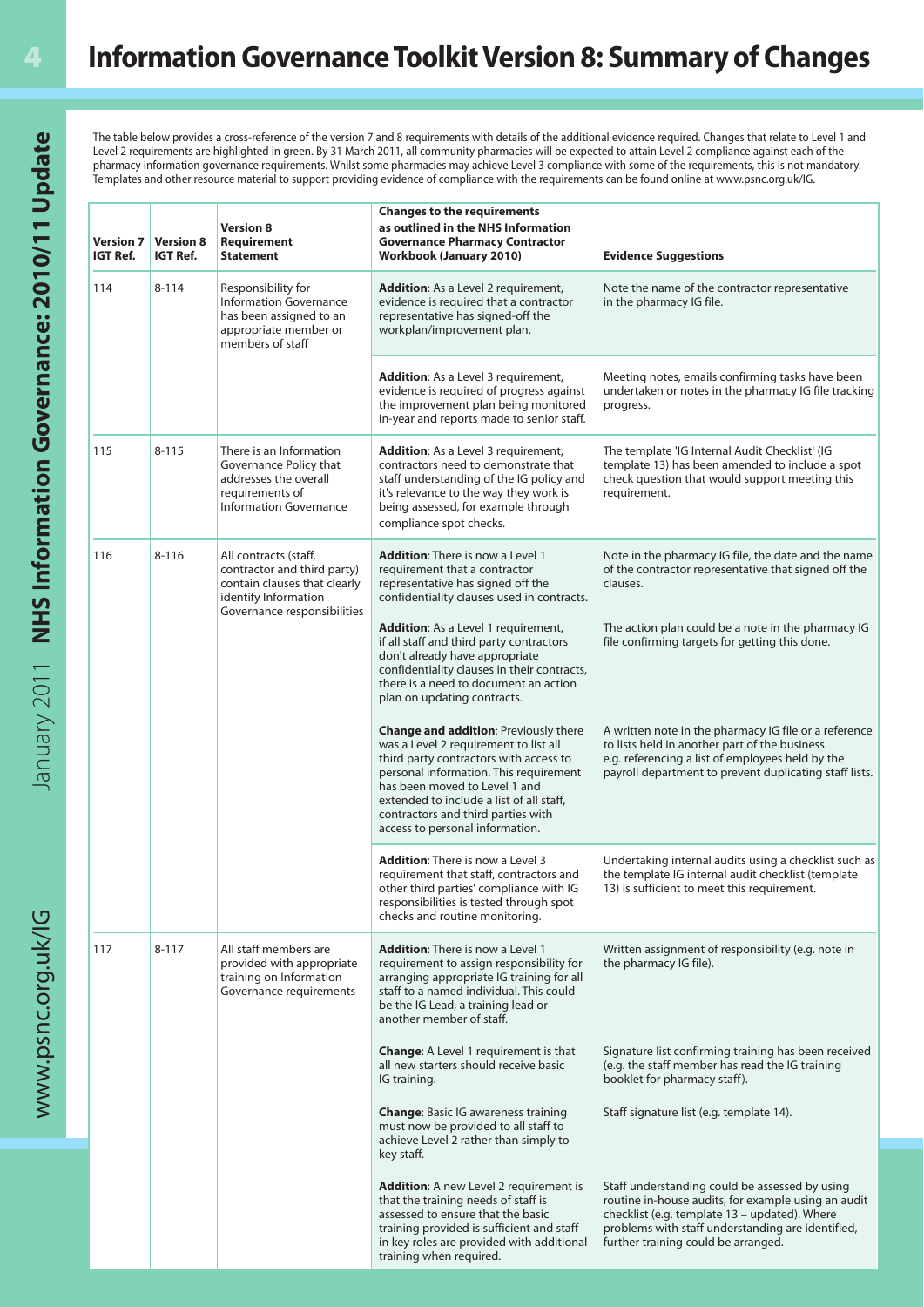The table below provides a cross-reference of the version 7 and 8 requirements with details of the additional evidence required. Changes that relate to Level 1 and Level 2 requirements are highlighted in green. By 31 March 2011, all community pharmacies will be expected to attain Level 2 compliance against each of the pharmacy information governance requirements. Whilst some pharmacies may achieve Level 3 compliance with some of the requirements, this is not mandatory. Templates and other resource material to support providing evidence of compliance with the requirements can be found online at www.psnc.org.uk/IG.

| <b>Version 7</b><br>IGT Ref. | <b>Version 8</b><br>IGT Ref. | <b>Version 8</b><br>Requirement<br><b>Statement</b>                                                                            | <b>Changes to the requirements</b><br>as outlined in the NHS Information<br><b>Governance Pharmacy Contractor</b><br><b>Workbook (January 2010)</b>                                                                                                                                                                             | <b>Evidence Suggestions</b>                                                                                                                                                                                                                        |
|------------------------------|------------------------------|--------------------------------------------------------------------------------------------------------------------------------|---------------------------------------------------------------------------------------------------------------------------------------------------------------------------------------------------------------------------------------------------------------------------------------------------------------------------------|----------------------------------------------------------------------------------------------------------------------------------------------------------------------------------------------------------------------------------------------------|
| 114                          | $8 - 114$                    | Responsibility for<br><b>Information Governance</b><br>has been assigned to an<br>appropriate member or<br>members of staff    | <b>Addition:</b> As a Level 2 requirement,<br>evidence is required that a contractor<br>representative has signed-off the<br>workplan/improvement plan.                                                                                                                                                                         | Note the name of the contractor representative<br>in the pharmacy IG file.                                                                                                                                                                         |
|                              |                              |                                                                                                                                | <b>Addition:</b> As a Level 3 requirement,<br>evidence is required of progress against<br>the improvement plan being monitored<br>in-year and reports made to senior staff.                                                                                                                                                     | Meeting notes, emails confirming tasks have been<br>undertaken or notes in the pharmacy IG file tracking<br>progress.                                                                                                                              |
| 115                          | $8 - 115$                    | There is an Information<br>Governance Policy that<br>addresses the overall<br>requirements of<br><b>Information Governance</b> | <b>Addition:</b> As a Level 3 requirement,<br>contractors need to demonstrate that<br>staff understanding of the IG policy and<br>it's relevance to the way they work is<br>being assessed, for example through<br>compliance spot checks.                                                                                      | The template 'IG Internal Audit Checklist' (IG<br>template 13) has been amended to include a spot<br>check question that would support meeting this<br>requirement.                                                                                |
| 116                          | $8 - 116$                    | All contracts (staff,<br>contractor and third party)<br>contain clauses that clearly<br>identify Information                   | <b>Addition:</b> There is now a Level 1<br>requirement that a contractor<br>representative has signed off the<br>confidentiality clauses used in contracts.                                                                                                                                                                     | Note in the pharmacy IG file, the date and the name<br>of the contractor representative that signed off the<br>clauses.                                                                                                                            |
|                              |                              | Governance responsibilities                                                                                                    | <b>Addition:</b> As a Level 1 requirement,<br>if all staff and third party contractors<br>don't already have appropriate<br>confidentiality clauses in their contracts,<br>there is a need to document an action<br>plan on updating contracts.                                                                                 | The action plan could be a note in the pharmacy IG<br>file confirming targets for getting this done.                                                                                                                                               |
|                              |                              |                                                                                                                                | <b>Change and addition: Previously there</b><br>was a Level 2 requirement to list all<br>third party contractors with access to<br>personal information. This requirement<br>has been moved to Level 1 and<br>extended to include a list of all staff,<br>contractors and third parties with<br>access to personal information. | A written note in the pharmacy IG file or a reference<br>to lists held in another part of the business<br>e.g. referencing a list of employees held by the<br>payroll department to prevent duplicating staff lists.                               |
|                              |                              |                                                                                                                                | <b>Addition:</b> There is now a Level 3<br>requirement that staff, contractors and<br>other third parties' compliance with IG<br>responsibilities is tested through spot<br>checks and routine monitoring.                                                                                                                      | Undertaking internal audits using a checklist such as<br>the template IG internal audit checklist (template<br>13) is sufficient to meet this requirement.                                                                                         |
| 117                          | $8 - 117$                    | All staff members are<br>provided with appropriate<br>training on Information<br>Governance requirements                       | <b>Addition:</b> There is now a Level 1<br>requirement to assign responsibility for<br>arranging appropriate IG training for all<br>staff to a named individual. This could<br>be the IG Lead, a training lead or<br>another member of staff.                                                                                   | Written assignment of responsibility (e.g. note in<br>the pharmacy IG file).                                                                                                                                                                       |
|                              |                              |                                                                                                                                | <b>Change:</b> A Level 1 requirement is that<br>all new starters should receive basic<br>IG training.                                                                                                                                                                                                                           | Signature list confirming training has been received<br>(e.g. the staff member has read the IG training<br>booklet for pharmacy staff).                                                                                                            |
|                              |                              |                                                                                                                                | <b>Change: Basic IG awareness training</b><br>must now be provided to all staff to<br>achieve Level 2 rather than simply to<br>key staff.                                                                                                                                                                                       | Staff signature list (e.g. template 14).                                                                                                                                                                                                           |
|                              |                              |                                                                                                                                | <b>Addition:</b> A new Level 2 requirement is<br>that the training needs of staff is<br>assessed to ensure that the basic<br>training provided is sufficient and staff<br>in key roles are provided with additional<br>training when required.                                                                                  | Staff understanding could be assessed by using<br>routine in-house audits, for example using an audit<br>checklist (e.g. template 13 - updated). Where<br>problems with staff understanding are identified,<br>further training could be arranged. |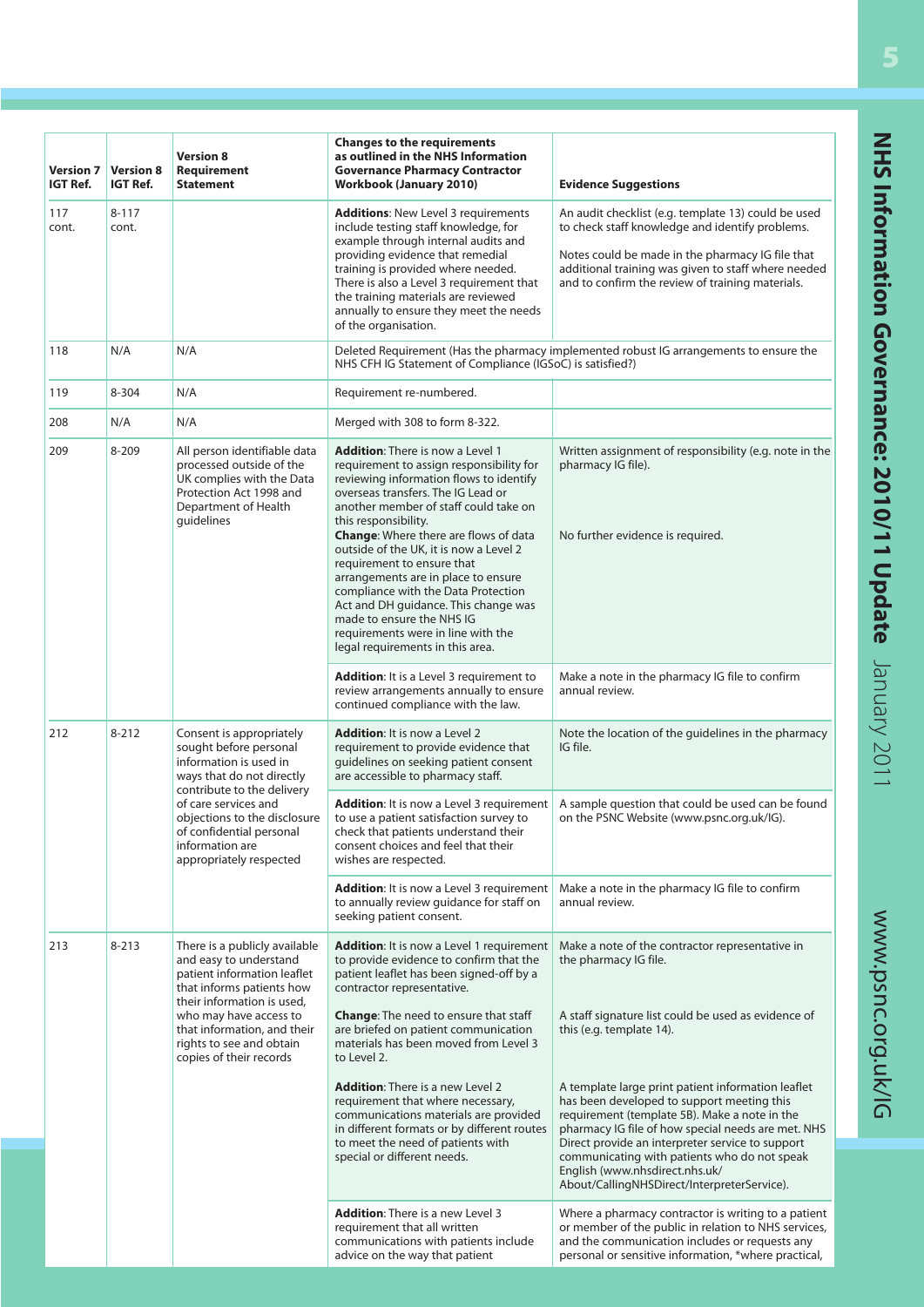| Version 7<br><b>IGT Ref.</b> | <b>Version 8</b><br>IGT Ref.                                                                                           | <b>Version 8</b><br>Requirement<br><b>Statement</b>                                                                                                                                                                                                               | <b>Changes to the requirements</b><br>as outlined in the NHS Information<br><b>Governance Pharmacy Contractor</b><br><b>Workbook (January 2010)</b>                                                                                                                                                                                                                                                                                                                                                                                                                                        | <b>Evidence Suggestions</b>                                                                                                                                                                                                                                                                                                                                                                  |
|------------------------------|------------------------------------------------------------------------------------------------------------------------|-------------------------------------------------------------------------------------------------------------------------------------------------------------------------------------------------------------------------------------------------------------------|--------------------------------------------------------------------------------------------------------------------------------------------------------------------------------------------------------------------------------------------------------------------------------------------------------------------------------------------------------------------------------------------------------------------------------------------------------------------------------------------------------------------------------------------------------------------------------------------|----------------------------------------------------------------------------------------------------------------------------------------------------------------------------------------------------------------------------------------------------------------------------------------------------------------------------------------------------------------------------------------------|
| 117<br>cont.                 | $8 - 117$<br>cont.                                                                                                     |                                                                                                                                                                                                                                                                   | <b>Additions: New Level 3 requirements</b><br>include testing staff knowledge, for<br>example through internal audits and<br>providing evidence that remedial<br>training is provided where needed.<br>There is also a Level 3 requirement that<br>the training materials are reviewed<br>annually to ensure they meet the needs<br>of the organisation.                                                                                                                                                                                                                                   | An audit checklist (e.g. template 13) could be used<br>to check staff knowledge and identify problems.<br>Notes could be made in the pharmacy IG file that<br>additional training was given to staff where needed<br>and to confirm the review of training materials.                                                                                                                        |
| 118                          | N/A                                                                                                                    | N/A                                                                                                                                                                                                                                                               | NHS CFH IG Statement of Compliance (IGSoC) is satisfied?)                                                                                                                                                                                                                                                                                                                                                                                                                                                                                                                                  | Deleted Requirement (Has the pharmacy implemented robust IG arrangements to ensure the                                                                                                                                                                                                                                                                                                       |
| 119                          | 8-304                                                                                                                  | N/A                                                                                                                                                                                                                                                               | Requirement re-numbered.                                                                                                                                                                                                                                                                                                                                                                                                                                                                                                                                                                   |                                                                                                                                                                                                                                                                                                                                                                                              |
| 208                          | N/A                                                                                                                    | N/A                                                                                                                                                                                                                                                               | Merged with 308 to form 8-322.                                                                                                                                                                                                                                                                                                                                                                                                                                                                                                                                                             |                                                                                                                                                                                                                                                                                                                                                                                              |
| 209                          | 8-209                                                                                                                  | All person identifiable data<br>processed outside of the<br>UK complies with the Data<br>Protection Act 1998 and<br>Department of Health<br>quidelines                                                                                                            | <b>Addition:</b> There is now a Level 1<br>requirement to assign responsibility for<br>reviewing information flows to identify<br>overseas transfers. The IG Lead or<br>another member of staff could take on<br>this responsibility.<br><b>Change:</b> Where there are flows of data<br>outside of the UK, it is now a Level 2<br>requirement to ensure that<br>arrangements are in place to ensure<br>compliance with the Data Protection<br>Act and DH guidance. This change was<br>made to ensure the NHS IG<br>requirements were in line with the<br>legal requirements in this area. | Written assignment of responsibility (e.g. note in the<br>pharmacy IG file).<br>No further evidence is required.                                                                                                                                                                                                                                                                             |
|                              |                                                                                                                        |                                                                                                                                                                                                                                                                   | Addition: It is a Level 3 requirement to<br>review arrangements annually to ensure<br>continued compliance with the law.                                                                                                                                                                                                                                                                                                                                                                                                                                                                   | Make a note in the pharmacy IG file to confirm<br>annual review.                                                                                                                                                                                                                                                                                                                             |
| 212                          | $8 - 212$<br>Consent is appropriately<br>sought before personal<br>information is used in<br>ways that do not directly | <b>Addition:</b> It is now a Level 2<br>requirement to provide evidence that<br>guidelines on seeking patient consent<br>are accessible to pharmacy staff.                                                                                                        | Note the location of the guidelines in the pharmacy<br>IG file.                                                                                                                                                                                                                                                                                                                                                                                                                                                                                                                            |                                                                                                                                                                                                                                                                                                                                                                                              |
|                              |                                                                                                                        | contribute to the delivery<br>of care services and<br>objections to the disclosure<br>of confidential personal<br>information are<br>appropriately respected                                                                                                      | <b>Addition:</b> It is now a Level 3 requirement<br>to use a patient satisfaction survey to<br>check that patients understand their<br>consent choices and feel that their<br>wishes are respected.                                                                                                                                                                                                                                                                                                                                                                                        | A sample question that could be used can be found<br>on the PSNC Website (www.psnc.org.uk/IG).                                                                                                                                                                                                                                                                                               |
|                              |                                                                                                                        |                                                                                                                                                                                                                                                                   | Addition: It is now a Level 3 requirement<br>to annually review guidance for staff on<br>seeking patient consent.                                                                                                                                                                                                                                                                                                                                                                                                                                                                          | Make a note in the pharmacy IG file to confirm<br>annual review.                                                                                                                                                                                                                                                                                                                             |
| 213                          | $8 - 213$                                                                                                              | There is a publicly available<br>and easy to understand<br>patient information leaflet<br>that informs patients how<br>their information is used,<br>who may have access to<br>that information, and their<br>rights to see and obtain<br>copies of their records | <b>Addition:</b> It is now a Level 1 requirement<br>to provide evidence to confirm that the<br>patient leaflet has been signed-off by a<br>contractor representative.<br><b>Change:</b> The need to ensure that staff<br>are briefed on patient communication<br>materials has been moved from Level 3<br>to Level 2.                                                                                                                                                                                                                                                                      | Make a note of the contractor representative in<br>the pharmacy IG file.<br>A staff signature list could be used as evidence of<br>this (e.g. template 14).                                                                                                                                                                                                                                  |
|                              |                                                                                                                        |                                                                                                                                                                                                                                                                   | <b>Addition:</b> There is a new Level 2<br>requirement that where necessary,<br>communications materials are provided<br>in different formats or by different routes<br>to meet the need of patients with<br>special or different needs.                                                                                                                                                                                                                                                                                                                                                   | A template large print patient information leaflet<br>has been developed to support meeting this<br>requirement (template 5B). Make a note in the<br>pharmacy IG file of how special needs are met. NHS<br>Direct provide an interpreter service to support<br>communicating with patients who do not speak<br>English (www.nhsdirect.nhs.uk/<br>About/CallingNHSDirect/InterpreterService). |
|                              |                                                                                                                        |                                                                                                                                                                                                                                                                   | <b>Addition:</b> There is a new Level 3<br>requirement that all written<br>communications with patients include<br>advice on the way that patient                                                                                                                                                                                                                                                                                                                                                                                                                                          | Where a pharmacy contractor is writing to a patient<br>or member of the public in relation to NHS services,<br>and the communication includes or requests any<br>personal or sensitive information, *where practical,                                                                                                                                                                        |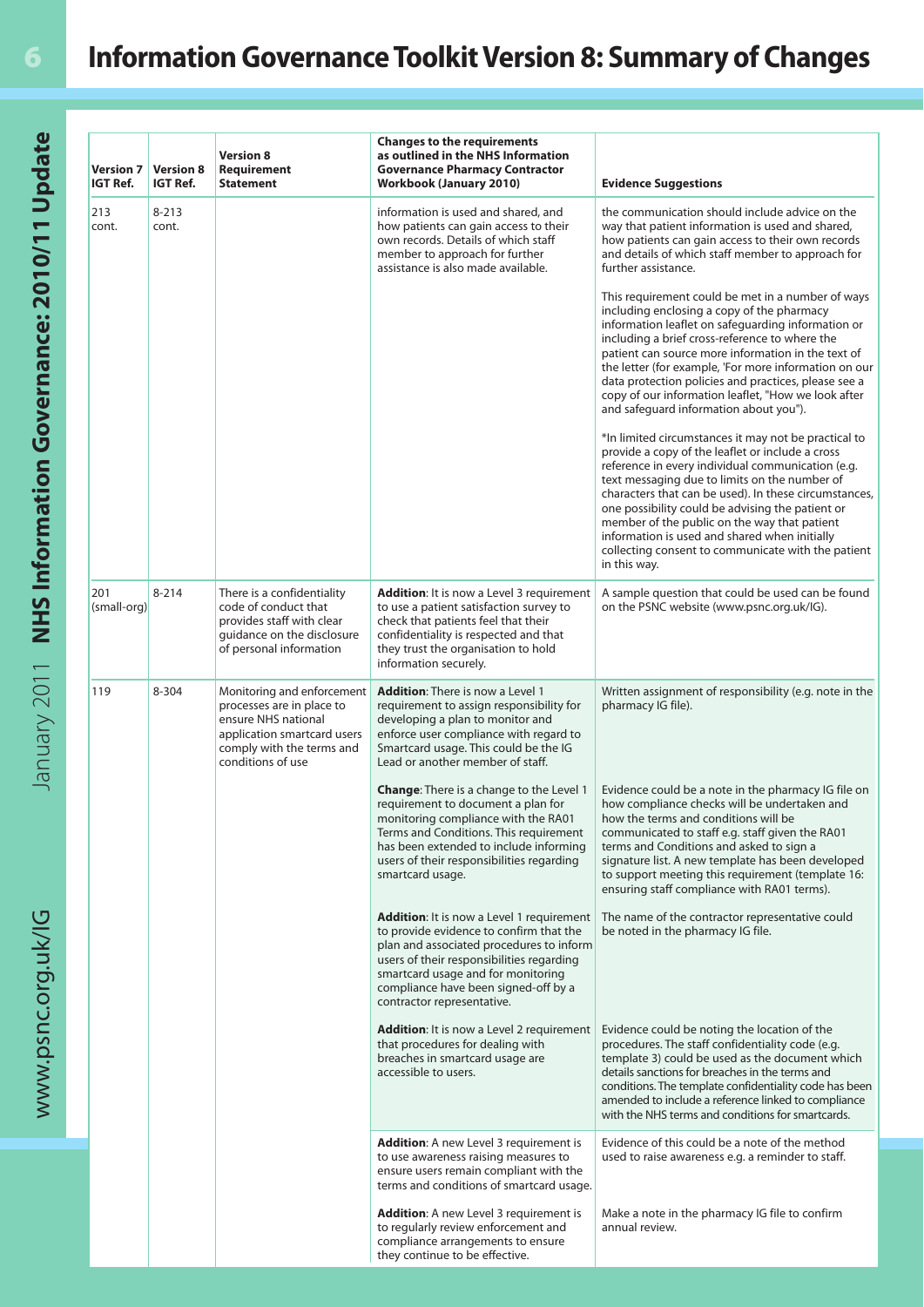# **6 Information Governance Toolkit Version 8: Summary of Changes**

| <b>Version 7</b><br><b>IGT Ref.</b> | <b>Version 8</b><br><b>IGT Ref.</b> | <b>Version 8</b><br>Requirement<br><b>Statement</b>                                                                                                             | <b>Changes to the requirements</b><br>as outlined in the NHS Information<br><b>Governance Pharmacy Contractor</b><br><b>Workbook (January 2010)</b>                                                                                                                                              | <b>Evidence Suggestions</b>                                                                                                                                                                                                                                                                                                                                                                                                                                                                        |
|-------------------------------------|-------------------------------------|-----------------------------------------------------------------------------------------------------------------------------------------------------------------|--------------------------------------------------------------------------------------------------------------------------------------------------------------------------------------------------------------------------------------------------------------------------------------------------|----------------------------------------------------------------------------------------------------------------------------------------------------------------------------------------------------------------------------------------------------------------------------------------------------------------------------------------------------------------------------------------------------------------------------------------------------------------------------------------------------|
| 213<br>cont.                        | $8 - 213$<br>cont.                  |                                                                                                                                                                 | information is used and shared, and<br>how patients can gain access to their<br>own records. Details of which staff<br>member to approach for further<br>assistance is also made available.                                                                                                      | the communication should include advice on the<br>way that patient information is used and shared,<br>how patients can gain access to their own records<br>and details of which staff member to approach for<br>further assistance.                                                                                                                                                                                                                                                                |
|                                     |                                     |                                                                                                                                                                 |                                                                                                                                                                                                                                                                                                  | This requirement could be met in a number of ways<br>including enclosing a copy of the pharmacy<br>information leaflet on safeguarding information or<br>including a brief cross-reference to where the<br>patient can source more information in the text of<br>the letter (for example, 'For more information on our<br>data protection policies and practices, please see a<br>copy of our information leaflet, "How we look after<br>and safeguard information about you").                    |
|                                     |                                     |                                                                                                                                                                 |                                                                                                                                                                                                                                                                                                  | *In limited circumstances it may not be practical to<br>provide a copy of the leaflet or include a cross<br>reference in every individual communication (e.g.<br>text messaging due to limits on the number of<br>characters that can be used). In these circumstances,<br>one possibility could be advising the patient or<br>member of the public on the way that patient<br>information is used and shared when initially<br>collecting consent to communicate with the patient<br>in this way. |
| 201<br>(small-org)                  | $8 - 214$                           | There is a confidentiality<br>code of conduct that<br>provides staff with clear<br>quidance on the disclosure<br>of personal information                        | <b>Addition:</b> It is now a Level 3 requirement<br>to use a patient satisfaction survey to<br>check that patients feel that their<br>confidentiality is respected and that<br>they trust the organisation to hold<br>information securely.                                                      | A sample question that could be used can be found<br>on the PSNC website (www.psnc.org.uk/IG).                                                                                                                                                                                                                                                                                                                                                                                                     |
| 119                                 | 8-304                               | Monitoring and enforcement<br>processes are in place to<br>ensure NHS national<br>application smartcard users<br>comply with the terms and<br>conditions of use | <b>Addition:</b> There is now a Level 1<br>requirement to assign responsibility for<br>developing a plan to monitor and<br>enforce user compliance with regard to<br>Smartcard usage. This could be the IG<br>Lead or another member of staff.                                                   | Written assignment of responsibility (e.g. note in the<br>pharmacy IG file).                                                                                                                                                                                                                                                                                                                                                                                                                       |
|                                     |                                     |                                                                                                                                                                 | <b>Change:</b> There is a change to the Level 1<br>requirement to document a plan for<br>monitoring compliance with the RA01<br>Terms and Conditions. This requirement<br>has been extended to include informing<br>users of their responsibilities regarding<br>smartcard usage.                | Evidence could be a note in the pharmacy IG file on<br>how compliance checks will be undertaken and<br>how the terms and conditions will be<br>communicated to staff e.g. staff given the RA01<br>terms and Conditions and asked to sign a<br>signature list. A new template has been developed<br>to support meeting this requirement (template 16:<br>ensuring staff compliance with RA01 terms).                                                                                                |
|                                     |                                     |                                                                                                                                                                 | <b>Addition:</b> It is now a Level 1 requirement<br>to provide evidence to confirm that the<br>plan and associated procedures to inform<br>users of their responsibilities regarding<br>smartcard usage and for monitoring<br>compliance have been signed-off by a<br>contractor representative. | The name of the contractor representative could<br>be noted in the pharmacy IG file.                                                                                                                                                                                                                                                                                                                                                                                                               |
|                                     |                                     |                                                                                                                                                                 | Addition: It is now a Level 2 requirement<br>that procedures for dealing with<br>breaches in smartcard usage are<br>accessible to users.                                                                                                                                                         | Evidence could be noting the location of the<br>procedures. The staff confidentiality code (e.g.<br>template 3) could be used as the document which<br>details sanctions for breaches in the terms and<br>conditions. The template confidentiality code has been<br>amended to include a reference linked to compliance<br>with the NHS terms and conditions for smartcards.                                                                                                                       |
|                                     |                                     |                                                                                                                                                                 | <b>Addition:</b> A new Level 3 requirement is<br>to use awareness raising measures to<br>ensure users remain compliant with the<br>terms and conditions of smartcard usage.                                                                                                                      | Evidence of this could be a note of the method<br>used to raise awareness e.g. a reminder to staff.                                                                                                                                                                                                                                                                                                                                                                                                |
|                                     |                                     |                                                                                                                                                                 | <b>Addition:</b> A new Level 3 requirement is<br>to regularly review enforcement and<br>compliance arrangements to ensure<br>they continue to be effective.                                                                                                                                      | Make a note in the pharmacy IG file to confirm<br>annual review.                                                                                                                                                                                                                                                                                                                                                                                                                                   |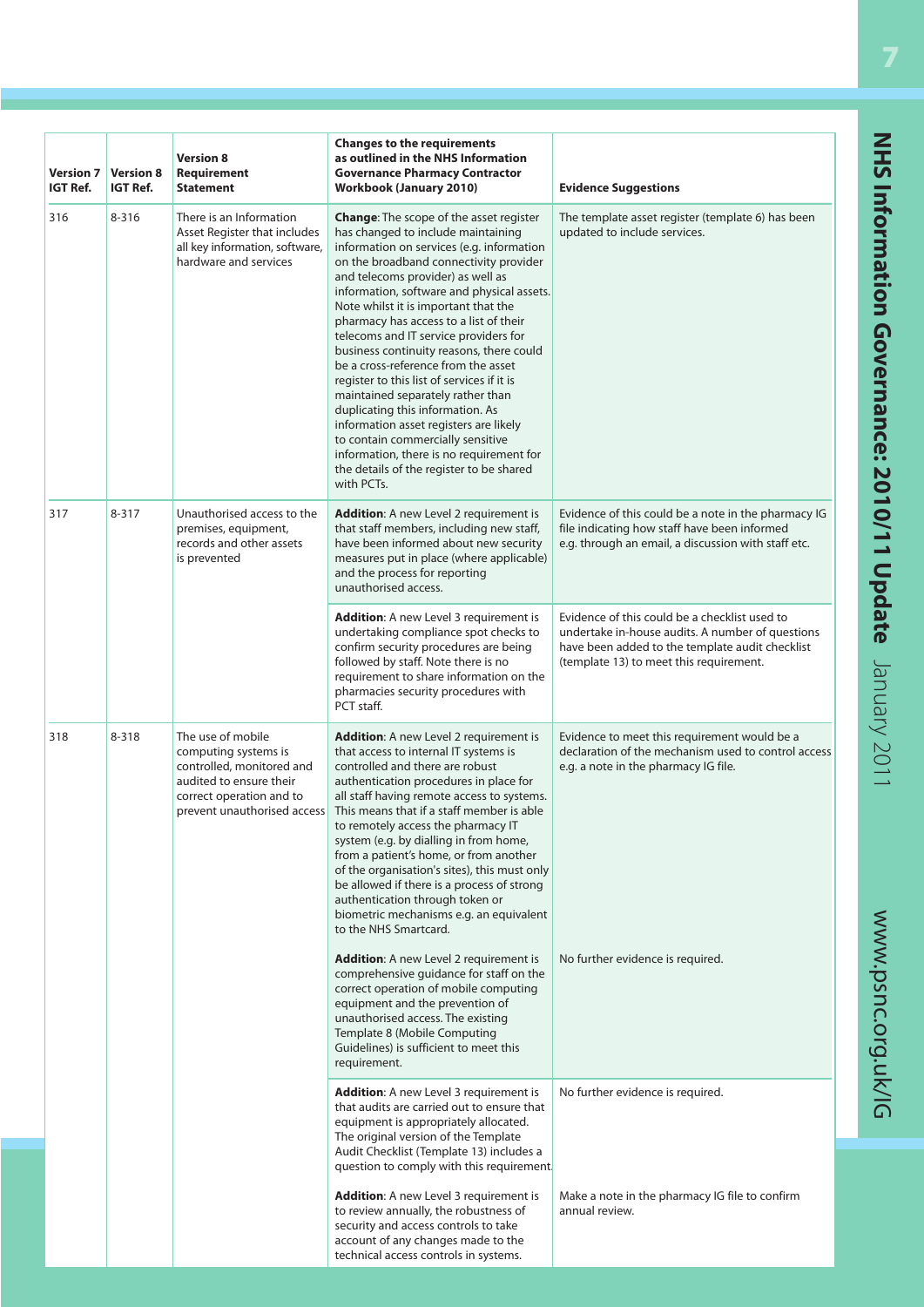| <b>Version 7</b><br><b>IGT Ref.</b> | <b>Version 8</b><br><b>IGT Ref.</b> | <b>Version 8</b><br>Requirement<br><b>Statement</b>                                                                                                          | <b>Changes to the requirements</b><br>as outlined in the NHS Information<br><b>Governance Pharmacy Contractor</b><br><b>Workbook (January 2010)</b>                                                                                                                                                                                                                                                                                                                                                                                                                                                                                                                                                                                                                                      | <b>Evidence Suggestions</b>                                                                                                                                                                     |
|-------------------------------------|-------------------------------------|--------------------------------------------------------------------------------------------------------------------------------------------------------------|------------------------------------------------------------------------------------------------------------------------------------------------------------------------------------------------------------------------------------------------------------------------------------------------------------------------------------------------------------------------------------------------------------------------------------------------------------------------------------------------------------------------------------------------------------------------------------------------------------------------------------------------------------------------------------------------------------------------------------------------------------------------------------------|-------------------------------------------------------------------------------------------------------------------------------------------------------------------------------------------------|
| 316                                 | 8-316                               | There is an Information<br>Asset Register that includes<br>all key information, software,<br>hardware and services                                           | <b>Change:</b> The scope of the asset register<br>has changed to include maintaining<br>information on services (e.g. information<br>on the broadband connectivity provider<br>and telecoms provider) as well as<br>information, software and physical assets.<br>Note whilst it is important that the<br>pharmacy has access to a list of their<br>telecoms and IT service providers for<br>business continuity reasons, there could<br>be a cross-reference from the asset<br>register to this list of services if it is<br>maintained separately rather than<br>duplicating this information. As<br>information asset registers are likely<br>to contain commercially sensitive<br>information, there is no requirement for<br>the details of the register to be shared<br>with PCTs. | The template asset register (template 6) has been<br>updated to include services.                                                                                                               |
| 317                                 | 8-317                               | Unauthorised access to the<br>premises, equipment,<br>records and other assets<br>is prevented                                                               | <b>Addition:</b> A new Level 2 requirement is<br>that staff members, including new staff,<br>have been informed about new security<br>measures put in place (where applicable)<br>and the process for reporting<br>unauthorised access.                                                                                                                                                                                                                                                                                                                                                                                                                                                                                                                                                  | Evidence of this could be a note in the pharmacy IG<br>file indicating how staff have been informed<br>e.g. through an email, a discussion with staff etc.                                      |
|                                     |                                     |                                                                                                                                                              | <b>Addition:</b> A new Level 3 requirement is<br>undertaking compliance spot checks to<br>confirm security procedures are being<br>followed by staff. Note there is no<br>requirement to share information on the<br>pharmacies security procedures with<br>PCT staff.                                                                                                                                                                                                                                                                                                                                                                                                                                                                                                                   | Evidence of this could be a checklist used to<br>undertake in-house audits. A number of questions<br>have been added to the template audit checklist<br>(template 13) to meet this requirement. |
| 318                                 | 8-318                               | The use of mobile<br>computing systems is<br>controlled, monitored and<br>audited to ensure their<br>correct operation and to<br>prevent unauthorised access | <b>Addition:</b> A new Level 2 requirement is<br>that access to internal IT systems is<br>controlled and there are robust<br>authentication procedures in place for<br>all staff having remote access to systems.<br>This means that if a staff member is able<br>to remotely access the pharmacy IT<br>system (e.g. by dialling in from home,<br>from a patient's home, or from another<br>of the organisation's sites), this must only<br>be allowed if there is a process of strong<br>authentication through token or<br>biometric mechanisms e.g. an equivalent<br>to the NHS Smartcard.                                                                                                                                                                                            | Evidence to meet this requirement would be a<br>declaration of the mechanism used to control access<br>e.g. a note in the pharmacy IG file.                                                     |
|                                     |                                     |                                                                                                                                                              | <b>Addition:</b> A new Level 2 requirement is<br>comprehensive quidance for staff on the<br>correct operation of mobile computing<br>equipment and the prevention of<br>unauthorised access. The existing<br>Template 8 (Mobile Computing<br>Guidelines) is sufficient to meet this<br>requirement.                                                                                                                                                                                                                                                                                                                                                                                                                                                                                      | No further evidence is required.                                                                                                                                                                |
|                                     |                                     |                                                                                                                                                              | <b>Addition:</b> A new Level 3 requirement is<br>that audits are carried out to ensure that<br>equipment is appropriately allocated.<br>The original version of the Template<br>Audit Checklist (Template 13) includes a<br>question to comply with this requirement.                                                                                                                                                                                                                                                                                                                                                                                                                                                                                                                    | No further evidence is required.                                                                                                                                                                |
|                                     |                                     |                                                                                                                                                              | <b>Addition:</b> A new Level 3 requirement is<br>to review annually, the robustness of<br>security and access controls to take<br>account of any changes made to the<br>technical access controls in systems.                                                                                                                                                                                                                                                                                                                                                                                                                                                                                                                                                                            | Make a note in the pharmacy IG file to confirm<br>annual review.                                                                                                                                |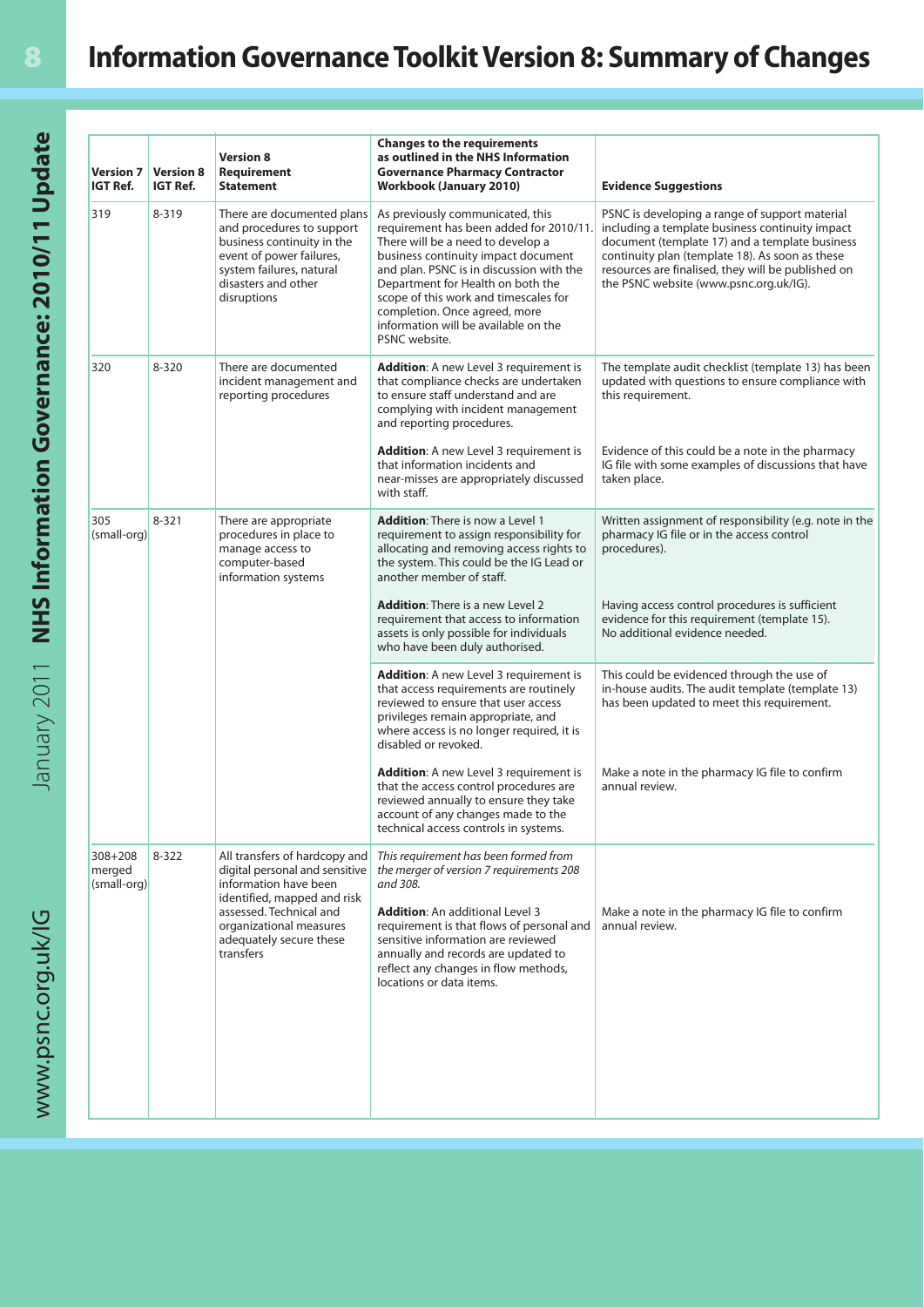# **8 Information Governance Toolkit Version 8: Summary of Changes**

| <b>Version 7</b><br><b>IGT Ref.</b>  | <b>Version 8</b><br><b>IGT Ref.</b> | <b>Version 8</b><br>Requirement<br><b>Statement</b>                                                                                                                                                                   | <b>Changes to the requirements</b><br>as outlined in the NHS Information<br><b>Governance Pharmacy Contractor</b><br><b>Workbook (January 2010)</b>                                                                                                                                                                                                                         | <b>Evidence Suggestions</b>                                                                                                                                                                                                                                                                            |
|--------------------------------------|-------------------------------------|-----------------------------------------------------------------------------------------------------------------------------------------------------------------------------------------------------------------------|-----------------------------------------------------------------------------------------------------------------------------------------------------------------------------------------------------------------------------------------------------------------------------------------------------------------------------------------------------------------------------|--------------------------------------------------------------------------------------------------------------------------------------------------------------------------------------------------------------------------------------------------------------------------------------------------------|
| 319                                  | 8-319                               | There are documented plans<br>and procedures to support<br>business continuity in the<br>event of power failures,<br>system failures, natural<br>disasters and other<br>disruptions                                   | As previously communicated, this<br>requirement has been added for 2010/11.<br>There will be a need to develop a<br>business continuity impact document<br>and plan. PSNC is in discussion with the<br>Department for Health on both the<br>scope of this work and timescales for<br>completion. Once agreed, more<br>information will be available on the<br>PSNC website. | PSNC is developing a range of support material<br>including a template business continuity impact<br>document (template 17) and a template business<br>continuity plan (template 18). As soon as these<br>resources are finalised, they will be published on<br>the PSNC website (www.psnc.org.uk/IG). |
| 320                                  | 8-320                               | There are documented<br>incident management and<br>reporting procedures                                                                                                                                               | <b>Addition:</b> A new Level 3 requirement is<br>that compliance checks are undertaken<br>to ensure staff understand and are<br>complying with incident management<br>and reporting procedures.                                                                                                                                                                             | The template audit checklist (template 13) has been<br>updated with questions to ensure compliance with<br>this requirement.                                                                                                                                                                           |
|                                      |                                     |                                                                                                                                                                                                                       | <b>Addition:</b> A new Level 3 requirement is<br>that information incidents and<br>near-misses are appropriately discussed<br>with staff.                                                                                                                                                                                                                                   | Evidence of this could be a note in the pharmacy<br>IG file with some examples of discussions that have<br>taken place.                                                                                                                                                                                |
| 305<br>(small-org)                   | $8 - 321$                           | There are appropriate<br>procedures in place to<br>manage access to<br>computer-based<br>information systems                                                                                                          | <b>Addition:</b> There is now a Level 1<br>requirement to assign responsibility for<br>allocating and removing access rights to<br>the system. This could be the IG Lead or<br>another member of staff.                                                                                                                                                                     | Written assignment of responsibility (e.g. note in the<br>pharmacy IG file or in the access control<br>procedures).                                                                                                                                                                                    |
|                                      |                                     |                                                                                                                                                                                                                       | <b>Addition:</b> There is a new Level 2<br>requirement that access to information<br>assets is only possible for individuals<br>who have been duly authorised.                                                                                                                                                                                                              | Having access control procedures is sufficient<br>evidence for this requirement (template 15).<br>No additional evidence needed.                                                                                                                                                                       |
|                                      |                                     |                                                                                                                                                                                                                       | <b>Addition:</b> A new Level 3 requirement is<br>that access requirements are routinely<br>reviewed to ensure that user access<br>privileges remain appropriate, and<br>where access is no longer required, it is<br>disabled or revoked.                                                                                                                                   | This could be evidenced through the use of<br>in-house audits. The audit template (template 13)<br>has been updated to meet this requirement.                                                                                                                                                          |
|                                      |                                     |                                                                                                                                                                                                                       | <b>Addition:</b> A new Level 3 requirement is<br>that the access control procedures are<br>reviewed annually to ensure they take<br>account of any changes made to the<br>technical access controls in systems.                                                                                                                                                             | Make a note in the pharmacy IG file to confirm<br>annual review.                                                                                                                                                                                                                                       |
| $308 + 208$<br>merged<br>(small-org) | $8 - 322$                           | All transfers of hardcopy and<br>digital personal and sensitive<br>information have been<br>identified, mapped and risk<br>assessed. Technical and<br>organizational measures<br>adequately secure these<br>transfers | This requirement has been formed from<br>the merger of version 7 requirements 208<br>and 308.<br><b>Addition:</b> An additional Level 3<br>requirement is that flows of personal and<br>sensitive information are reviewed<br>annually and records are updated to<br>reflect any changes in flow methods,<br>locations or data items.                                       | Make a note in the pharmacy IG file to confirm<br>annual review.                                                                                                                                                                                                                                       |
|                                      |                                     |                                                                                                                                                                                                                       |                                                                                                                                                                                                                                                                                                                                                                             |                                                                                                                                                                                                                                                                                                        |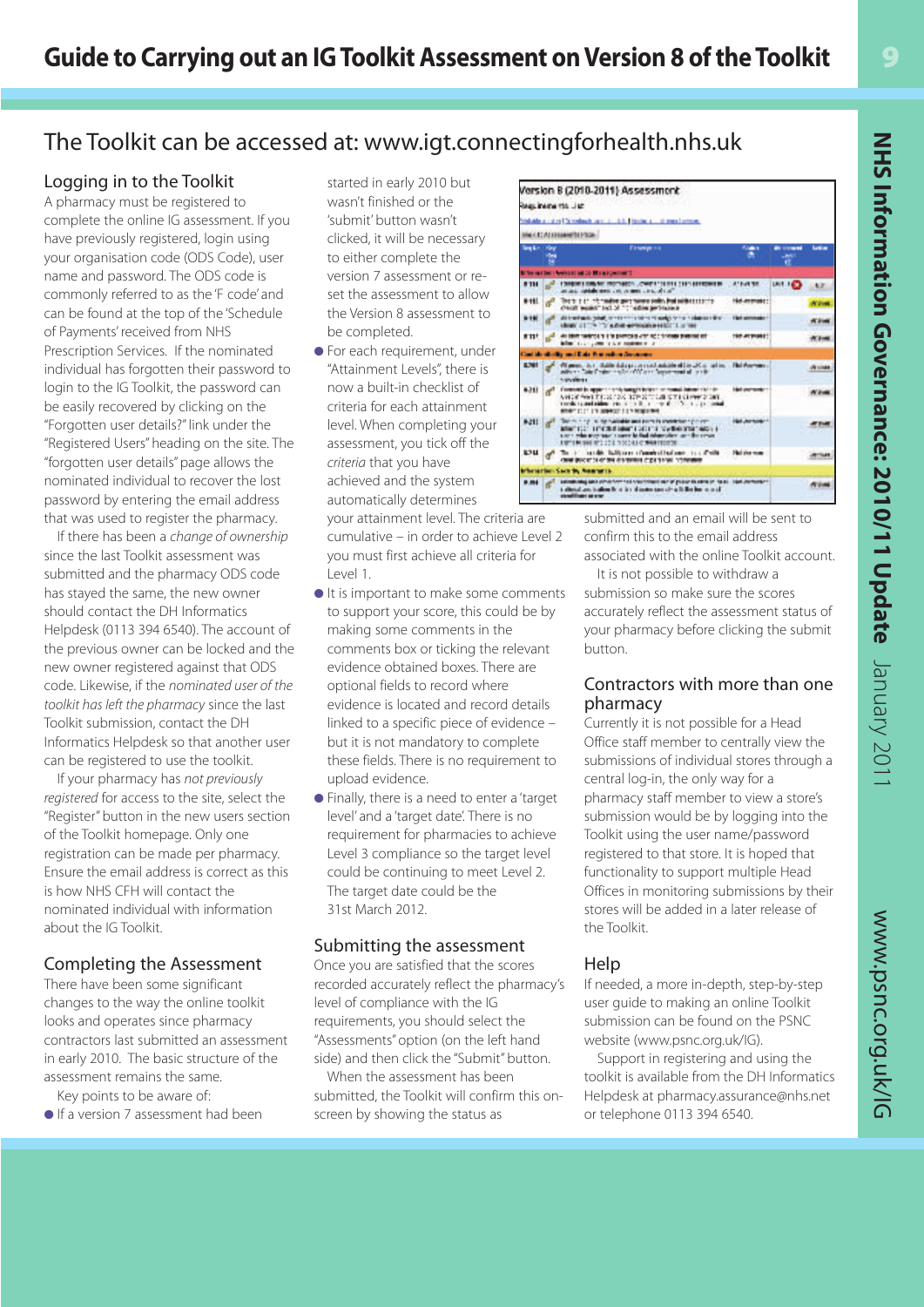# The Toolkit can be accessed at: www.igt.connectingforhealth.nhs.uk

# Logging in to the Toolkit

A pharmacy must be registered to complete the online IG assessment. If you have previously registered, login using yo ur organisation code (ODS Co d e ), user name and password. The ODS code is commonly refer red to as the 'F code' and can be found at the top of the 'Schedul e of Pa yments' received from NHS Pr escription Services. If the nominated individual has forgotten their password to login to the IG Toolkit, the password can be easily recovered by clicking on the "Forgotten user details?" link under the "Registered Users" heading on the site. The "forgotten user details" page allows the nominated individual to recov e r the lost passwor d by entering the email address that was used to register the pharmacy. If there has been a *change of ownership*

since the last Toolkit assessment was submitted and the pharmacy ODS c ode has stay e d the same, the new owne r should contact the DH Informati c s Helpdesk (0113 394 6540). The account of th e previous owner can be locked and the new owner registered against that ODS code . Likewise, if the *nominated user of the toolkit has left the pharmacy* since the last Toolkit submission, contact the D H Informatics Helpdesk so that another user can be r egistered to use the too lkit.

If your pharmacy has *not previously* registered for access to the site, select the "Register" button in the new users section of the Toolkit homepage. Only one registration can be made pe r pharmacy . Ens ure the email address is correct as this is how NHS CFH will contact the nominated individual with informatio n about the IG Toolkit.

# Completing the Assessment

Th ere have been some signifi cant chang es to the way the online toolkit look s and operates since pharmacy cont ractors last submitted an assessment in e arly 201 0. The basic structure o f the ass essment remains the same. Key points to be aware of:

**●** If a ver sion 7 assessment had been

started in early 2010 bu t wasn't f inished or the 'submit' button wasn't ' cl ick ed, it will b e n ece ssar y to either complete the version 7 assessment or reset the assessment to allow the Version 8 assessment to be completed.

**•** For each requirement, under "Attainment Levels", there is now a built-in checklist of cr iteri a for each at tainme n t level. When completing your assess ment, you tic k off th e criteria that you have achi eved and the syste m automatically determines

your attainment level. The criteria are cumulative - in order to achieve Level 2 you must first achieve all criteria for Level 1.

- $\bullet$  It is important to make some comments to support your score, this could be by making som e comme nts i n th e comm ents box o r tic k ing the relevan t evidenc e ob taine d box es. There are opt iona l fields to re cord w her e evidenc e is locat ed and rec ord d etails linked to a specific piece of evidence but i t is no t mandato r y to c omplete these fields. There is no requirement to uplo ad e vid ence.
- Finally, there is a need to enter a 'target level' and a 'target date'. There is no requirement for pharmacies to achieve Level 3 compliance so the target level co uld b e continu ing to me et Level 2. The target date could be the 31st Ma rch 2012.

# Submitting the assessment

Once you are satisfied that the score s recorded accurately reflect the pharmacy's level of c omp lianc e with the IG req uire ments, y ou sho uld select th e "Assessments" option (on the left hand side) and then click the "Sub m it" b utton.

When the assessment has been submitted, the Toolkit will confirm this onscree n by showing th e status as



submitted and an email will be sent to confirm this to the email address associated with the online Toolkit account.

It is not possible to withdraw a s u b m iss ion s o make s ure the score s a c cur ately re flect t h e as s e s sment status of your pharmacy before clicking the submit button .

# Co ntractors with more t h a n one pha rmac y

C urren tly i t is no t p o s s i ble for a Head Office staff member to centrally view the submissions of individual stores through a c ent r al lo g-i n , the o nly w ay for a pharmacy staff member to view a store's ' submission would be by logging into the Toolkit using the user name/password re gistere d to t hat st ore. It is hope d that functionality to support multiple Head Offices in monitoring submissions by their stores will be added in a later release of the Toolkit.

# Help

If needed, a more in-depth, step-by-step user guide to making an online Toolkit s u b m iss ion can b e fo und on the PSNC w e bsite (www.p snc. org.uk/IG) .

Support in registering and using the toolkit is available from the DH Informatics Helpdesk at pharmacy.assurance@nhs.net o r te l e phone 0113 394 6540.

**9**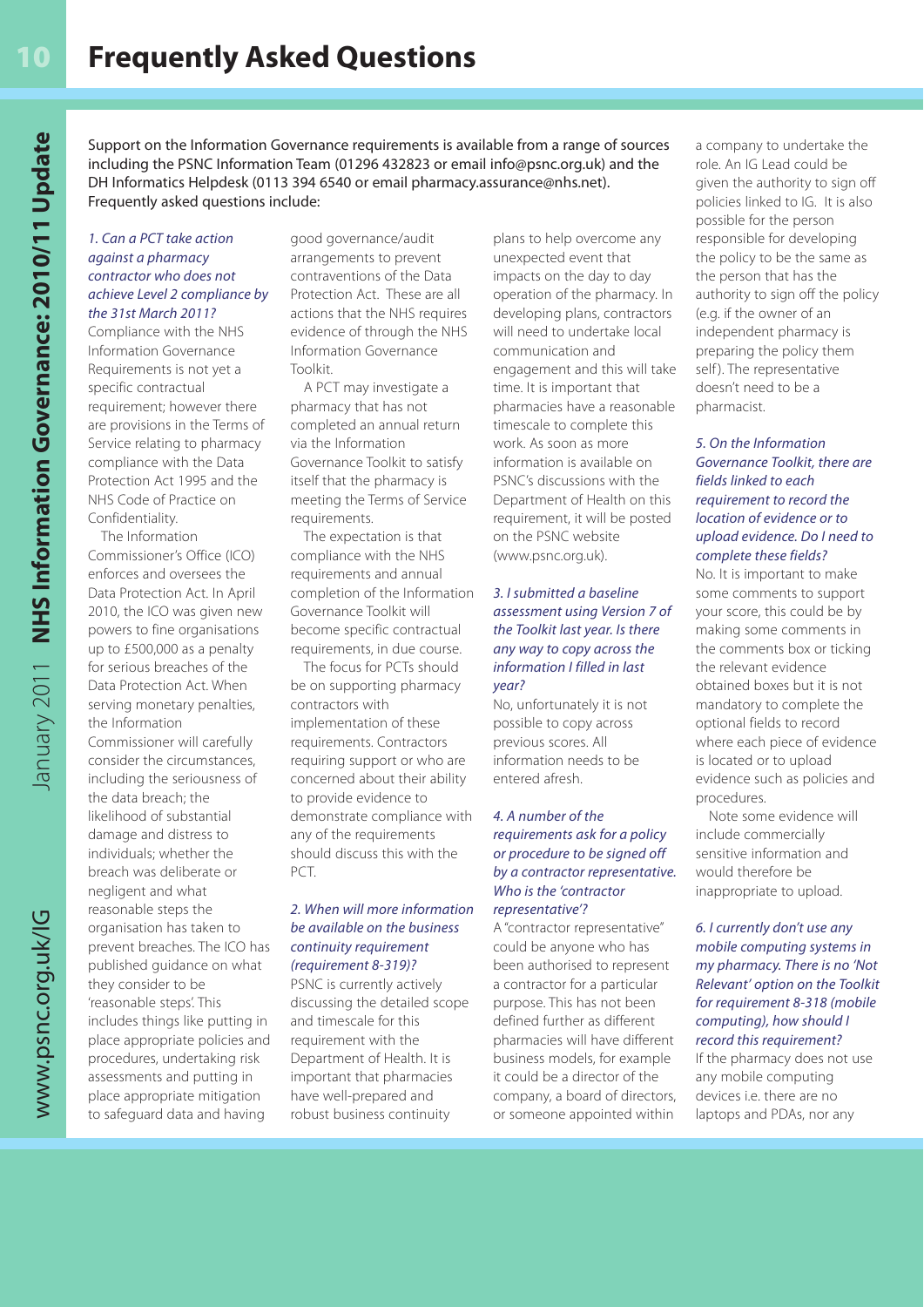Support on the Information Governance requirements is available from a range of sources including the PSNC Information Team (01296 432823 or email info@psnc.org.uk) and the DH Informatics Helpdesk (0113 394 6540 or email pharmacy.assurance@nhs.net). Frequently asked questions include:

#### *1. Can a PCT take action against a pharmacy contractor who does not achieve Level 2 compliance by the 31st March 2011?*

Compliance with the NHS Information Governance Requirements is not yet a specific contractual requirement; however there are provisions in the Terms of Service relating to pharmacy compliance with the Data Protection Act 1995 and the NHS Code of Practice on Confidentiality.

The Information Commissioner's Office (ICO) enforces and oversees the Data Protection Act. In April 2010, the ICO was given new powers to fine organisations up to £500,000 as a penalty for serious breaches of the Data Protection Act. When serving monetary penalties, the Information

Commissioner will carefully consider the circumstances, including the seriousness of the data breach; the likelihood of substantial damage and distress to individuals; whether the breach was deliberate or negligent and what reasonable steps the organisation has taken to prevent breaches. The ICO has published guidance on what they consider to be 'reasonable steps'. This includes things like putting in place appropriate policies and procedures, undertaking risk assessments and putting in place appropriate mitigation to safeguard data and having

good governance/audit arrangements to prevent contraventions of the Data Protection Act. These are all actions that the NHS requires evidence of through the NHS Information Governance Toolkit.

A PCT may investigate a pharmacy that has not completed an annual return via the Information Governance Toolkit to satisfy itself that the pharmacy is meeting the Terms of Service requirements.

The expectation is that compliance with the NHS requirements and annual completion of the Information Governance Toolkit will become specific contractual requirements, in due course.

The focus for PCTs should be on supporting pharmacy contractors with implementation of these requirements. Contractors requiring support or who are concerned about their ability to provide evidence to demonstrate compliance with any of the requirements should discuss this with the PCT.

#### *2. When will more information be available on the business continuity requirement (requirement 8-319)?*

PSNC is currently actively discussing the detailed scope and timescale for this requirement with the Department of Health. It is important that pharmacies have well-prepared and robust business continuity

plans to help overcome any unexpected event that impacts on the day to day operation of the pharmacy. In developing plans, contractors will need to undertake local communication and engagement and this will take time. It is important that pharmacies have a reasonable timescale to complete this work. As soon as more information is available on PSNC's discussions with the Department of Health on this requirement, it will be posted on the PSNC website (www.psnc.org.uk).

#### *3. I submitted a baseline assessment using Version 7 of the Toolkit last year. Is there any way to copy across the information I filled in last year?*

No, unfortunately it is not possible to copy across previous scores. All information needs to be entered afresh.

#### *4. A number of the requirements ask for a policy or procedure to be signed off by a contractor representative. Who is the 'contractor representative'?*

A "contractor representative" could be anyone who has been authorised to represent a contractor for a particular purpose. This has not been defined further as different pharmacies will have different business models, for example it could be a director of the company, a board of directors, or someone appointed within

a company to undertake the role. An IG Lead could be given the authority to sign off policies linked to IG. It is also possible for the person responsible for developing the policy to be the same as the person that has the authority to sign off the policy (e.g. if the owner of an independent pharmacy is preparing the policy them self). The representative doesn't need to be a pharmacist.

#### *5. On the Information Governance Toolkit, there are fields linked to each requirement to record the location of evidence or to upload evidence. Do I need to complete these fields?*

No. It is important to make some comments to support your score, this could be by making some comments in the comments box or ticking the relevant evidence obtained boxes but it is not mandatory to complete the optional fields to record where each piece of evidence is located or to upload evidence such as policies and procedures.

Note some evidence will include commercially sensitive information and would therefore be inappropriate to upload.

# *6. I currently don't use any mobile computing systems in my pharmacy. There is no 'Not Relevant' option on the Toolkit for requirement 8-318 (mobile computing), how should I record this requirement?*  If the pharmacy does not use

any mobile computing devices i.e. there are no laptops and PDAs, nor any

www.psnc.org.uk/IG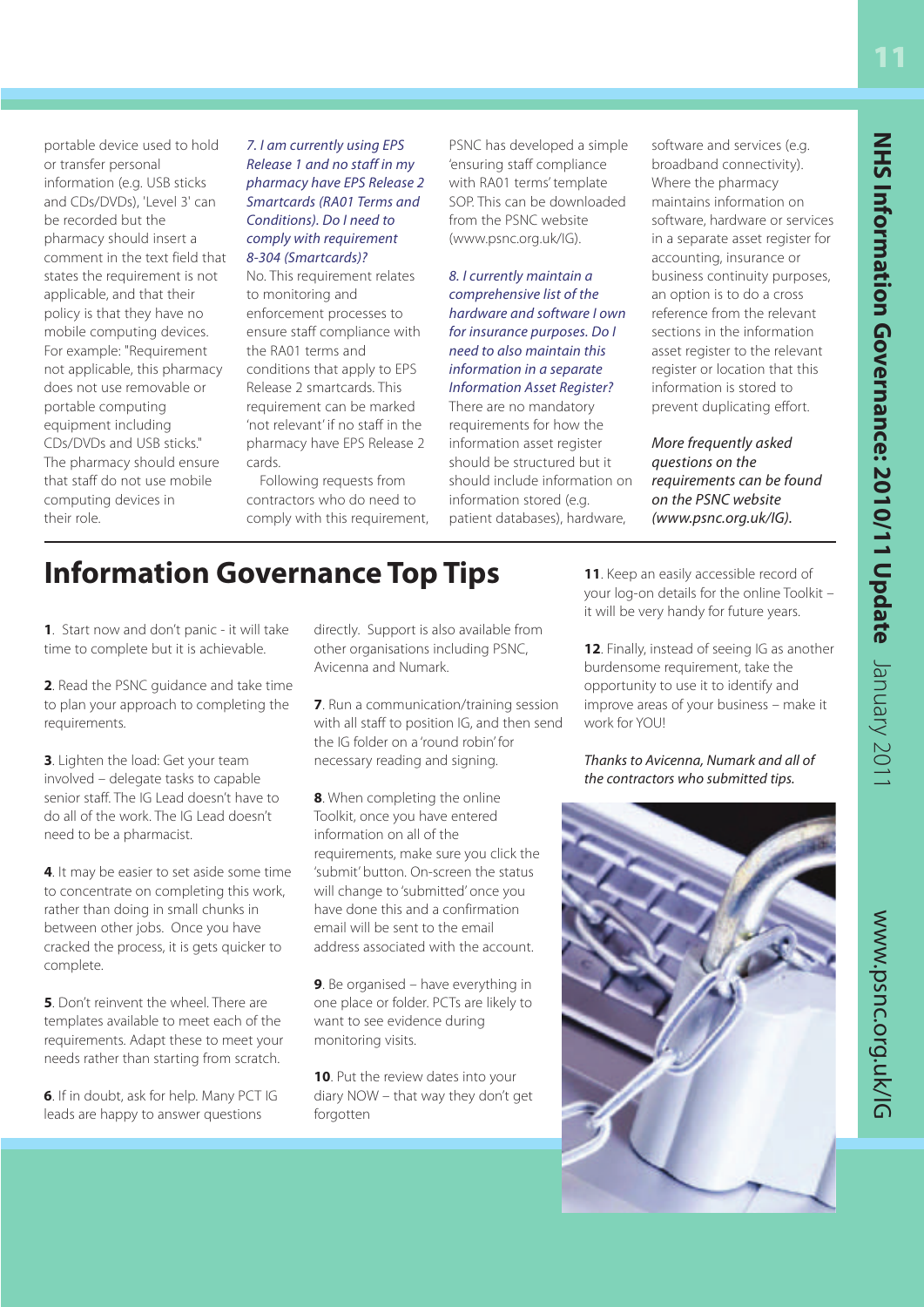www.psnc.org.uk/IG

www.psnc.org.uk/IG

portable device used to hol d or t r ansfer personal information (e.g. USB sticks and C Ds/DVDs), 'Level 3 ' can be recorded but the pharmacy should insert a comment in the text field that states the requirement is not applic able, and that their policy is that they have n o mobile computing devices. Fo r example: "Requirem ent not applicable, this pharmacy doe s not use removable or portable computing equipment including CDs /DVDs and USB sticks." Th e pharmacy should ensur e that sta ff do not use mobile computing de vices in th eir role.

*7. I am curren tly using EPS Release 1 and no staff in my pharmacy h ave E PS Rele ase 2 Sma rtcards (RA01 Term s and Conditions). Do I need to comply with requirement 8-304 (Smartcards)?*

No. This requirement relates to monitoring and enfo rcement proces ses to ensure staff compl iance with the RA01 terms and conditions that apply to EPS Re lease 2 smartcards. This r equ irement can be mar ked 'not relevant' if no staff in the pharmacy hav e EPS Releas e 2 cards.

Fo l low ing r eque sts from contractors who do need to c omply w ith thi s requirement, PSNC has developed a simple 'ensuring staff compliance with RA01 terms' template SO P. Thi s c an be downlo a ded from the PSNC website ( w ww.psnc.org.uk/ IG).

*8. I currently maint ain a comprehensive list of the hardware and software I ow n* for *insurance purposes*. Do l *need t o also maint ain this information in a separate Info rmation Asset Register?*  There are no mandatory requir emen t s for how the information asset register should be structured but it should include information on informa tion stor e d (e.g. p a tient d a tabases), ha rdwar e ,

software and services (e.g. br oadba n d connectivity). Where the pharmacy maintains information on software, hardware or services in a separate asset register for accounting, insurance or bu sin ess con tinuity purposes, an option is to do a cross referenc e from the relevant sections in the information a sset register t o the relev ant register or location that this informa tion is sto red to prevent duplicating effort.

*More frequently asked questions on the requirements can be foun d <i>on the PSNC website (www.psnc.org.uk/IG).*

# **Information Governance Top Tips**

**1**. S tart now and don't panic - it will take tim e to complete but it is achievabl e .

**2**. Read the PSNC guidanc e and take time to plan your approach to completing the requirements.

**3**. Lighten the load: Get your team in volved – delegate tasks to capabl e senior staff. The I G Lead doesn't have to do all o f the work. The IG Lead doesn't need to be a pharmacist.

**4**. It may be easier to set aside some time to concentrate on completing this work , rather than doing in small chunks in between other jobs. Once you have cra cked the process, it is gets qu icker t o complete.

**5**. Don't reinvent the wheel. There are templates available to meet each of the requirements. Adapt these to meet you r needs rather than starting from scratch.

**6**. If in doubt, ask for help. Many PCT I G leads are happy to answer questions

directly. Support is also available from other organisations inc luding PSNC, Avicenna and Numar k.

**7**. Run a communication/training session with all staff to position IG, and then send the IG folder on a 'round robin' for necessary reading and signin g .

**8**. When completing the online To olkit, o nce you have entere d information on all of the r equ irements, make sure yo u click the 'submit' button. On-screen the status w i ll change to 'submit t e d ' once you have done this and a confirmation emai l will be sent t o the emai l address associate d with the account .

**9**. Be organised - have everything in one place or folder. PCTs are likely to want to se e evidence d uring monitoring vi sits.

10. Put the review dates into your diar y NOW – that way they don 't get forgotte n

11. Keep an easily accessible record of your log-on details for the online Toolkit it will be very handy for future years .<br>.

12. Finally, instead of seeing IG as another burdensome requirement, ta ke the opportunity to use it to identify and improve areas of your business – ma ke i t work for YOU!

*Thanks to A vicen na, Numark and a l l o f th e con t ractors wh o sub mitted tips.*